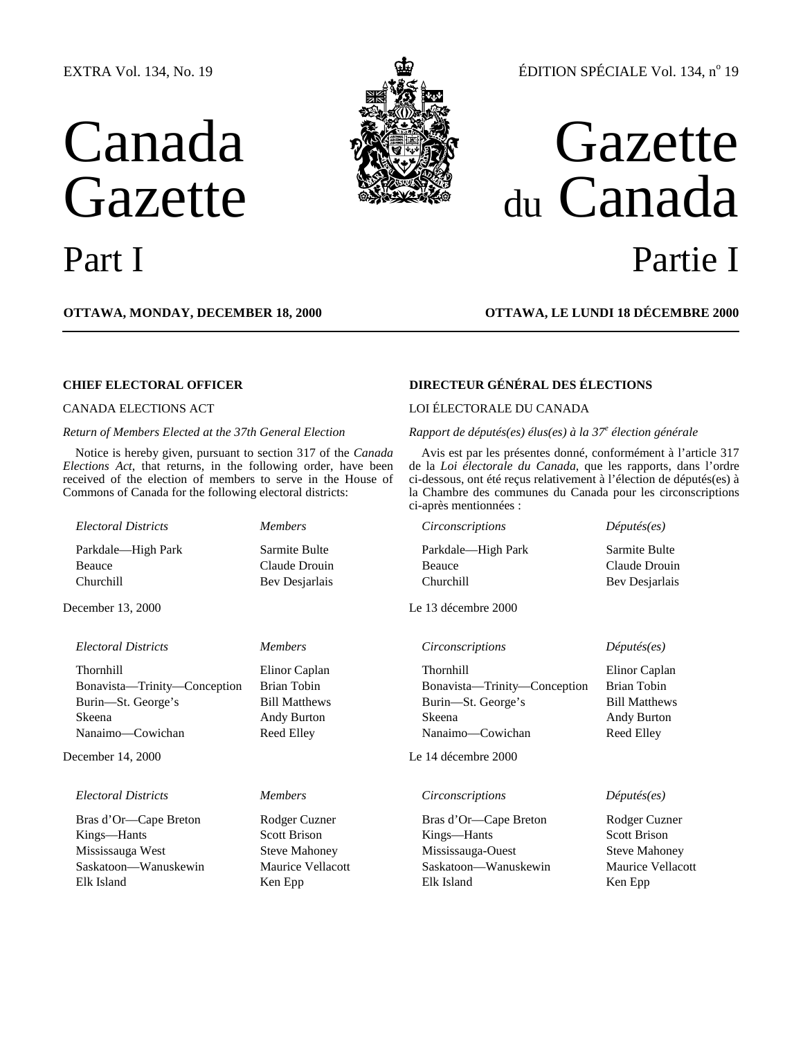# EXTRA Vol. 134, No. 19

# Canada Gazette





# ÉDITION SPÉCIALE Vol. 134, nº 19

# Gazette du Canada Part I Partie I

**OTTAWA, MONDAY, DECEMBER 18, 2000 OTTAWA, LE LUNDI 18 DÉCEMBRE 2000**

Notice is hereby given, pursuant to section 317 of the *Canada Elections Act*, that returns, in the following order, have been received of the election of members to serve in the House of Commons of Canada for the following electoral districts:

# December 13, 2000 Le 13 décembre 2000

# *Electoral Districts Members Circonscriptions Députés(es)*

December 14, 2000 Le 14 décembre 2000

# *Electoral Districts Members Circonscriptions Députés(es)*

Bras d'Or—Cape Breton Rodger Cuzner Bras d'Or—Cape Breton Rodger Cuzner Kings—Hants Scott Brison Kings—Hants Scott Brison Mississauga West Steve Mahoney Mississauga-Ouest Steve Mahoney Saskatoon—Wanuskewin Maurice Vellacott Saskatoon—Wanuskewin Maurice Vellacott Elk Island Ken Epp Elk Island Ken Epp

# **CHIEF ELECTORAL OFFICER DIRECTEUR GÉNÉRAL DES ÉLECTIONS**

# CANADA ELECTIONS ACT LOI ÉLECTORALE DU CANADA

# *Return of Members Elected at the 37th General Election Rapport de députés(es) élus(es) à la 37<sup>e</sup> élection générale*

Avis est par les présentes donné, conformément à l'article 317 de la *Loi électorale du Canada*, que les rapports, dans l'ordre ci-dessous, ont été reçus relativement à l'élection de députés(es) à la Chambre des communes du Canada pour les circonscriptions ci-après mentionnées :

*Electoral Districts Members Circonscriptions Députés(es)* Parkdale—High Park Sarmite Bulte Parkdale—High Park Sarmite Bulte Beauce Claude Drouin Beauce Claude Drouin Beauce Claude Drouin Churchill Bev Desjarlais Churchill Bev Desjarlais

| Thornhill<br>Elinor Caplan<br>Thornhill<br>Brian Tobin<br>Bonavista—Trinity—Conception<br>Bonavista—Trinity—Conception<br><b>Bill Matthews</b><br>Burin—St. George's<br>Burin—St. George's<br>Skeena<br>Andy Burton<br>Skeena<br>Reed Elley<br>Nanaimo—Cowichan<br>Reed Elley<br>Nanaimo—Cowichan | ----------- | E                    |
|---------------------------------------------------------------------------------------------------------------------------------------------------------------------------------------------------------------------------------------------------------------------------------------------------|-------------|----------------------|
|                                                                                                                                                                                                                                                                                                   |             | Elinor Caplan        |
|                                                                                                                                                                                                                                                                                                   |             | Brian Tobin          |
|                                                                                                                                                                                                                                                                                                   |             | <b>Bill Matthews</b> |
|                                                                                                                                                                                                                                                                                                   |             | Andy Burton          |
|                                                                                                                                                                                                                                                                                                   |             |                      |